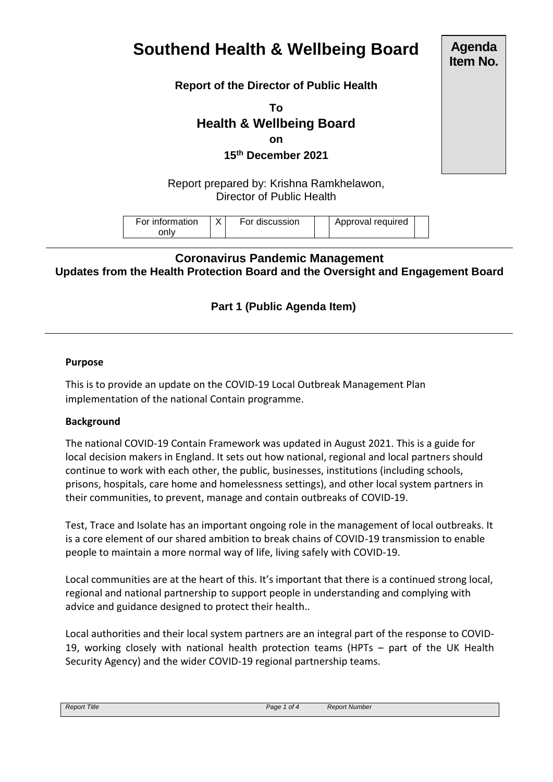# **Southend Health & Wellbeing Board**

**Report of the Director of Public Health**

**To Health & Wellbeing Board on 15th December 2021**

Report prepared by: Krishna Ramkhelawon, Director of Public Health

# **Coronavirus Pandemic Management Updates from the Health Protection Board and the Oversight and Engagement Board**

# **Part 1 (Public Agenda Item)**

#### **Purpose**

This is to provide an update on the COVID-19 Local Outbreak Management Plan implementation of the national Contain programme.

#### **Background**

The national COVID-19 Contain Framework was updated in August 2021. This is a guide for local decision makers in England. It sets out how national, regional and local partners should continue to work with each other, the public, businesses, institutions (including schools, prisons, hospitals, care home and homelessness settings), and other local system partners in their communities, to prevent, manage and contain outbreaks of COVID-19.

Test, Trace and Isolate has an important ongoing role in the management of local outbreaks. It is a core element of our shared ambition to break chains of COVID-19 transmission to enable people to maintain a more normal way of life, living safely with COVID-19.

Local communities are at the heart of this. It's important that there is a continued strong local, regional and national partnership to support people in understanding and complying with advice and guidance designed to protect their health..

Local authorities and their local system partners are an integral part of the response to COVID-19, working closely with national health protection teams (HPTs – part of the UK Health Security Agency) and the wider COVID-19 regional partnership teams.

| <b>Report Title</b> | Page<br>ot 4 | Report Number<br> |
|---------------------|--------------|-------------------|

**Agenda Item No.**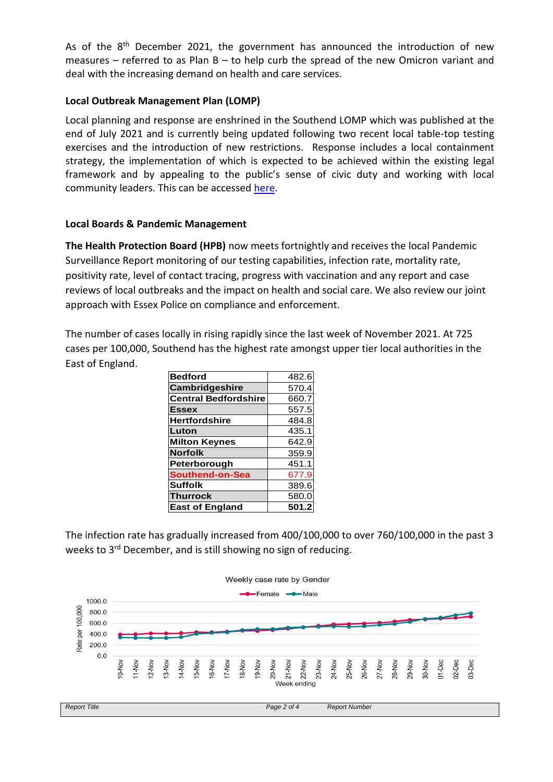As of the  $8<sup>th</sup>$  December 2021, the government has announced the introduction of new measures – referred to as Plan  $B -$  to help curb the spread of the new Omicron variant and deal with the increasing demand on health and care services.

## **Local Outbreak Management Plan (LOMP)**

Local planning and response are enshrined in the Southend LOMP which was published at the end of July 2021 and is currently being updated following two recent local table-top testing exercises and the introduction of new restrictions. Response includes a local containment strategy, the implementation of which is expected to be achieved within the existing legal framework and by appealing to the public's sense of civic duty and working with local community leaders. This can be accessed [here.](https://www.southend.gov.uk/OutbreakManagement)

#### **Local Boards & Pandemic Management**

**The Health Protection Board (HPB)** now meets fortnightly and receives the local Pandemic Surveillance Report monitoring of our testing capabilities, infection rate, mortality rate, positivity rate, level of contact tracing, progress with vaccination and any report and case reviews of local outbreaks and the impact on health and social care. We also review our joint approach with Essex Police on compliance and enforcement.

The number of cases locally in rising rapidly since the last week of November 2021. At 725 cases per 100,000, Southend has the highest rate amongst upper tier local authorities in the East of England.

| <b>Bedford</b>              | 482.6 |
|-----------------------------|-------|
| Cambridgeshire              | 570.4 |
| <b>Central Bedfordshire</b> | 660.7 |
| <b>Essex</b>                | 557.5 |
| <b>Hertfordshire</b>        | 484.8 |
| Luton                       | 435.1 |
| <b>Milton Keynes</b>        | 642.9 |
| <b>Norfolk</b>              | 359.9 |
| Peterborough                | 451.1 |
| <b>Southend-on-Sea</b>      | 677.9 |
| <b>Suffolk</b>              | 389.6 |
| <b>Thurrock</b>             | 580.0 |
| <b>East of England</b>      | 501.2 |

The infection rate has gradually increased from 400/100,000 to over 760/100,000 in the past 3 weeks to 3<sup>rd</sup> December, and is still showing no sign of reducing.

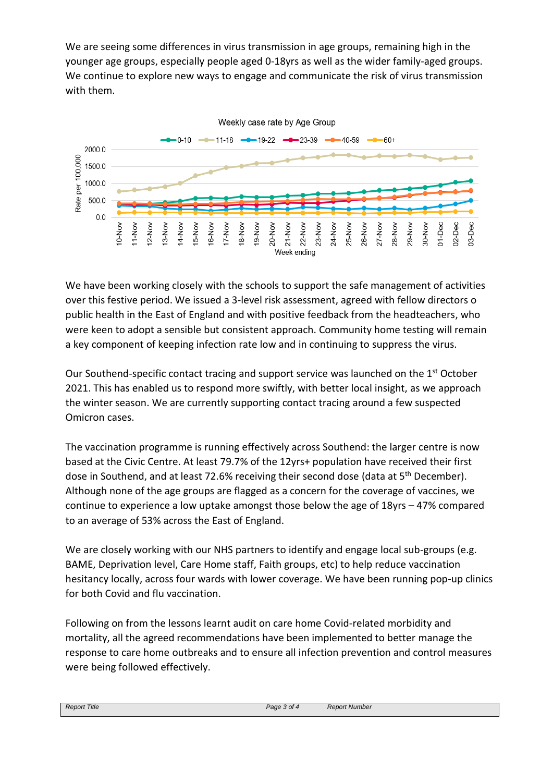We are seeing some differences in virus transmission in age groups, remaining high in the younger age groups, especially people aged 0-18yrs as well as the wider family-aged groups. We continue to explore new ways to engage and communicate the risk of virus transmission with them.



We have been working closely with the schools to support the safe management of activities over this festive period. We issued a 3-level risk assessment, agreed with fellow directors o public health in the East of England and with positive feedback from the headteachers, who were keen to adopt a sensible but consistent approach. Community home testing will remain a key component of keeping infection rate low and in continuing to suppress the virus.

Our Southend-specific contact tracing and support service was launched on the 1<sup>st</sup> October 2021. This has enabled us to respond more swiftly, with better local insight, as we approach the winter season. We are currently supporting contact tracing around a few suspected Omicron cases.

The vaccination programme is running effectively across Southend: the larger centre is now based at the Civic Centre. At least 79.7% of the 12yrs+ population have received their first dose in Southend, and at least 72.6% receiving their second dose (data at 5<sup>th</sup> December). Although none of the age groups are flagged as a concern for the coverage of vaccines, we continue to experience a low uptake amongst those below the age of 18yrs – 47% compared to an average of 53% across the East of England.

We are closely working with our NHS partners to identify and engage local sub-groups (e.g. BAME, Deprivation level, Care Home staff, Faith groups, etc) to help reduce vaccination hesitancy locally, across four wards with lower coverage. We have been running pop-up clinics for both Covid and flu vaccination.

Following on from the lessons learnt audit on care home Covid-related morbidity and mortality, all the agreed recommendations have been implemented to better manage the response to care home outbreaks and to ensure all infection prevention and control measures were being followed effectively.

| Title<br>Report | Page<br>3 of $\sigma$ | : Number<br>Janar<br><b>REDUIL</b> |
|-----------------|-----------------------|------------------------------------|